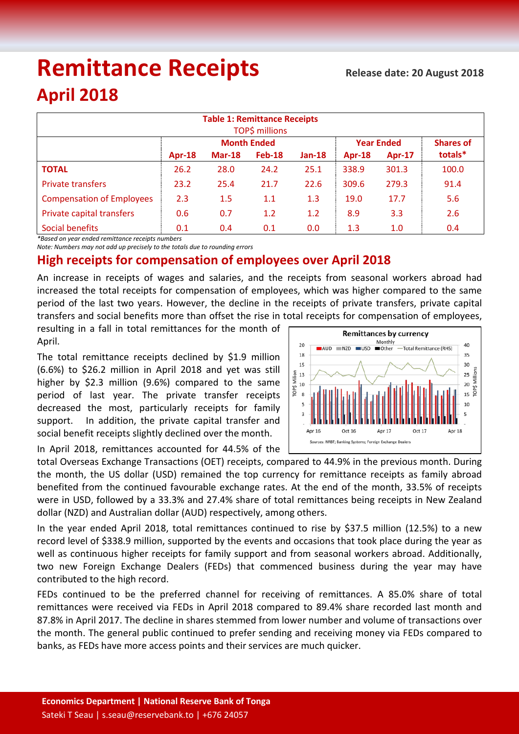# **Remittance Receipts**

## **April 2018**

| <b>Table 1: Remittance Receipts</b><br>TOP\$ millions |                    |          |               |          |                   |               |                  |
|-------------------------------------------------------|--------------------|----------|---------------|----------|-------------------|---------------|------------------|
|                                                       | <b>Month Ended</b> |          |               |          | <b>Year Ended</b> |               | <b>Shares of</b> |
|                                                       | $Apr-18$           | $Mar-18$ | <b>Feb-18</b> | $Jan-18$ | $Apr-18$          | <b>Apr-17</b> | totals*          |
| <b>TOTAL</b>                                          | 26.2               | 28.0     | 24.2          | 25.1     | 338.9             | 301.3         | 100.0            |
| <b>Private transfers</b>                              | 23.2               | 25.4     | 21.7          | 22.6     | 309.6             | 279.3         | 91.4             |
| <b>Compensation of Employees</b>                      | 2.3                | 1.5      | 1.1           | 1.3      | 19.0              | 17.7          | 5.6              |
| Private capital transfers                             | 0.6                | 0.7      | 1.2           | 1.2      | 8.9               | 3.3           | 2.6              |
| Social benefits                                       | 0.1                | 0.4      | 0.1           | 0.0      | 1.3               | 1.0           | 0.4              |

*\*Based on year ended remittance receipts numbers*

*Note: Numbers may not add up precisely to the totals due to rounding errors*

### **High receipts for compensation of employees over April 2018**

An increase in receipts of wages and salaries, and the receipts from seasonal workers abroad had increased the total receipts for compensation of employees, which was higher compared to the same period of the last two years. However, the decline in the receipts of private transfers, private capital transfers and social benefits more than offset the rise in total receipts for compensation of employees,

resulting in a fall in total remittances for the month of April.

The total remittance receipts declined by \$1.9 million (6.6%) to \$26.2 million in April 2018 and yet was still higher by \$2.3 million (9.6%) compared to the same period of last year. The private transfer receipts decreased the most, particularly receipts for family support. In addition, the private capital transfer and social benefit receipts slightly declined over the month.

Monthly  $20$ 40  $N = AUD$   $NZD$   $NZD$   $N = USD$ -Total Remittance (RHS)  $18$ 35 15 30  $25 \frac{\text{kg}}{\text{m} \cdot \text{m}}$ <br> $20 \frac{\text{kg}}{\text{m}}$  $\begin{array}{c}\n 13 \\
\overline{) \text{13}} \\
10 \\
8\n \end{array}$  $10$ Apr 16 Apr 17 Apr 18 Sources: NRBT: Banking Systems: Foreign Exchange Dealers

**Remittances by currency** 

In April 2018, remittances accounted for 44.5% of the

total Overseas Exchange Transactions (OET) receipts, compared to 44.9% in the previous month. During the month, the US dollar (USD) remained the top currency for remittance receipts as family abroad benefited from the continued favourable exchange rates. At the end of the month, 33.5% of receipts were in USD, followed by a 33.3% and 27.4% share of total remittances being receipts in New Zealand dollar (NZD) and Australian dollar (AUD) respectively, among others.

In the year ended April 2018, total remittances continued to rise by \$37.5 million (12.5%) to a new record level of \$338.9 million, supported by the events and occasions that took place during the year as well as continuous higher receipts for family support and from seasonal workers abroad. Additionally, two new Foreign Exchange Dealers (FEDs) that commenced business during the year may have contributed to the high record.

FEDs continued to be the preferred channel for receiving of remittances. A 85.0% share of total remittances were received via FEDs in April 2018 compared to 89.4% share recorded last month and 87.8% in April 2017. The decline in shares stemmed from lower number and volume of transactions over the month. The general public continued to prefer sending and receiving money via FEDs compared to banks, as FEDs have more access points and their services are much quicker.